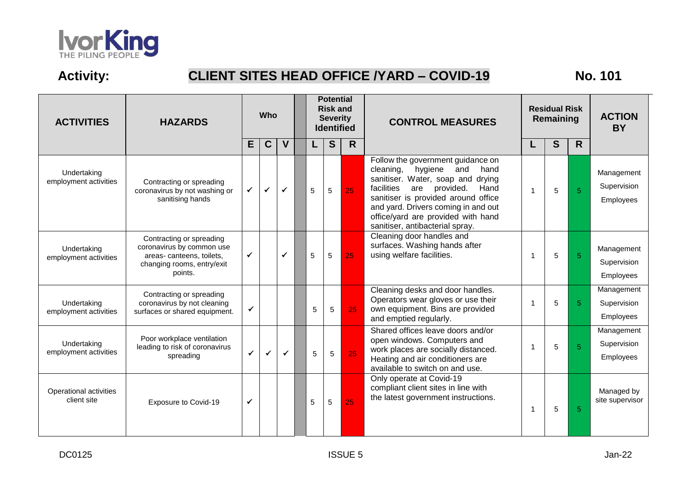

## **Activity: CLIENT SITES HEAD OFFICE /YARD – COVID-19 No. 101**

| <b>ACTIVITIES</b>                     | <b>HAZARDS</b>                                                                                                             |   | <b>Who</b>   |              | <b>Potential</b><br><b>Risk and</b><br><b>Severity</b><br><b>Identified</b> |   |             | <b>CONTROL MEASURES</b> |                                                                                                                                                                                                                                                                                                                   | <b>Residual Risk</b><br>Remaining | <b>ACTION</b><br><b>BY</b> |                |                                        |
|---------------------------------------|----------------------------------------------------------------------------------------------------------------------------|---|--------------|--------------|-----------------------------------------------------------------------------|---|-------------|-------------------------|-------------------------------------------------------------------------------------------------------------------------------------------------------------------------------------------------------------------------------------------------------------------------------------------------------------------|-----------------------------------|----------------------------|----------------|----------------------------------------|
|                                       |                                                                                                                            | E | C            | $\mathbf V$  |                                                                             |   | $\mathbf S$ | R                       |                                                                                                                                                                                                                                                                                                                   | L                                 | S                          | R.             |                                        |
| Undertaking<br>employment activities  | Contracting or spreading<br>coronavirus by not washing or<br>sanitising hands                                              | ✓ | ✔            | $\checkmark$ |                                                                             | 5 | 5           | 25                      | Follow the government guidance on<br>cleaning,<br>hygiene<br>and<br>hand<br>sanitiser. Water, soap and<br>drying<br>facilities<br>provided.<br>Hand<br>are<br>sanitiser is provided around office<br>and yard. Drivers coming in and out<br>office/yard are provided with hand<br>sanitiser, antibacterial spray. | 1                                 | 5                          | 5              | Management<br>Supervision<br>Employees |
| Undertaking<br>employment activities  | Contracting or spreading<br>coronavirus by common use<br>areas-canteens, toilets,<br>changing rooms, entry/exit<br>points. | ✔ |              | ✓            |                                                                             | 5 | 5           | 25                      | Cleaning door handles and<br>surfaces. Washing hands after<br>using welfare facilities.                                                                                                                                                                                                                           |                                   | 5                          | $\overline{5}$ | Management<br>Supervision<br>Employees |
| Undertaking<br>employment activities  | Contracting or spreading<br>coronavirus by not cleaning<br>surfaces or shared equipment.                                   | ✓ |              |              |                                                                             | 5 | 5           | 25                      | Cleaning desks and door handles.<br>Operators wear gloves or use their<br>own equipment. Bins are provided<br>and emptied regularly.                                                                                                                                                                              | -1                                | 5                          | 5              | Management<br>Supervision<br>Employees |
| Undertaking<br>employment activities  | Poor workplace ventilation<br>leading to risk of coronavirus<br>spreading                                                  | ✓ | $\checkmark$ | $\checkmark$ |                                                                             | 5 | 5           | 25                      | Shared offices leave doors and/or<br>open windows. Computers and<br>work places are socially distanced.<br>Heating and air conditioners are<br>available to switch on and use.                                                                                                                                    |                                   | 5                          | 5              | Management<br>Supervision<br>Employees |
| Operational activities<br>client site | Exposure to Covid-19                                                                                                       | ✓ |              |              |                                                                             | 5 | 5           | 25                      | Only operate at Covid-19<br>compliant client sites in line with<br>the latest government instructions.                                                                                                                                                                                                            | 1                                 | 5                          | 5              | Managed by<br>site supervisor          |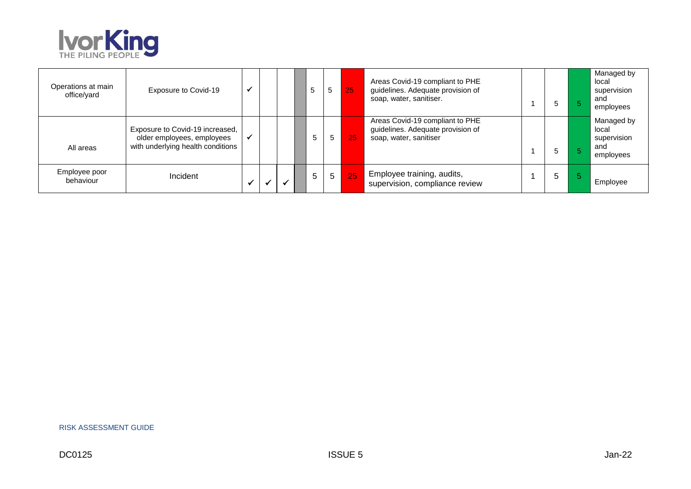

| Operations at main<br>office/yard | Exposure to Covid-19                                                                               |  | 5 |   | 5              | 257 | Areas Covid-19 compliant to PHE<br>guidelines. Adequate provision of<br>soap, water, sanitiser. | G  | Managed by<br>local<br>supervision<br>and<br>employees |
|-----------------------------------|----------------------------------------------------------------------------------------------------|--|---|---|----------------|-----|-------------------------------------------------------------------------------------------------|----|--------------------------------------------------------|
| All areas                         | Exposure to Covid-19 increased,<br>older employees, employees<br>with underlying health conditions |  |   | 5 | 5 <sup>5</sup> | 25  | Areas Covid-19 compliant to PHE<br>guidelines. Adequate provision of<br>soap, water, sanitiser  | :C | Managed by<br>local<br>supervision<br>and<br>employees |
| Employee poor<br>behaviour        | Incident                                                                                           |  |   | 5 | 5 <sup>1</sup> | 25  | Employee training, audits,<br>supervision, compliance review                                    | 5  | Employee                                               |

RISK ASSESSMENT GUIDE